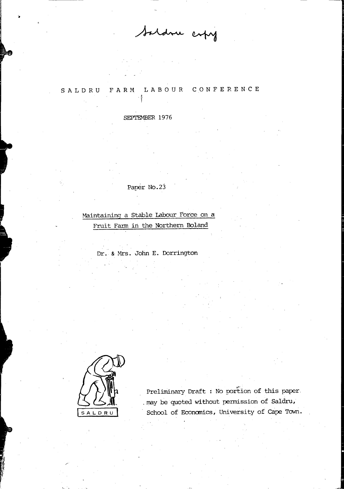Saldru erfry

#### CONFERENCE LABOUR SALDRU FARM

#### SEPTEMBER 1976

# Paper No.23

Maintaining a Stable Labour Force on a Fruit Farm in the Northern Boland

Dr. & Mrs. John E. Dorrington



Preliminary Draft : No portion of this paper. may be quoted without permission of Saldru, School of Economics, University of Cape Town.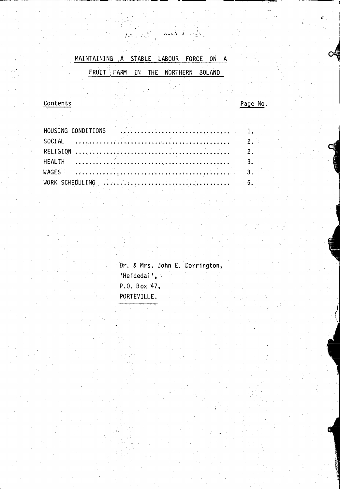MAINTAINING A STABLE LABOUR FORCE ON A FRUIT FARM IN THE NORTHERN BOLAND

 $\sum_{i=1}^n \sum_{j=1}^n \frac{1}{j}$ 

 $\mathcal{L} \in \mathbb{R}^d$ 

# Contents

Page No.

Dr. & Mrs. John E. Dorrington, 'Heidedal', P.O. Box 47, PORTEVILLE.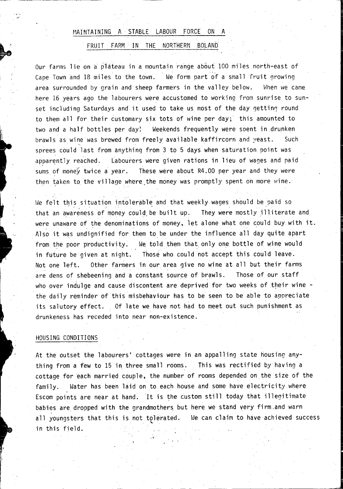# MAINTAINING A STABLE LABOUR FORCE ON A

#### FRUIT FARM IN THE NORTHERN BOLAND

Our farms lie ona piateau in a mountain range about 100 miles north-east of Cape Town and 18 miles to the town. We form part of a small fruit growing area surrounded by grain and sheep farmers in the valley below. When we came here 16 years ago the labourers were accustomed to working from sunrise to sunset including Saturdays and it used to take us most of the day getting round to them all for their customary six tots of wine per day; this amounted to two and a half bottles per day! Weekends frequently were soent in drunken brawls as wine was brewed from freely available kaffircorn and yeast. Such sprees could last from anything from 3 to 5 days when saturation point was apparently reached. Labourers were given rations in lieu of wages and paid sums of money twice a year. These were about  $R4.00$  per year and they were then taken to the village where the money was promptly spent on more wine.

We felt this situation intolerable and that weekly wages should be paid so that an awareness of money could be built up. They were mostly illiterate and were unaware of the denominations of money, let alone what one could buy with it. Also it was undignified for them to be under the influence all day quite apart from the poor productivity. We told them that only one bottle of wine would in future be given at night. Those who could not accept this could leave. Not one left. Other farmers in our area give no wine at all but their farms are dens of shebeening and a constant source of brawls. Those of our staff who over indulge and cause discontent are deprived for two weeks of their wine the daily reminder of this misbehaviour has to be seen to be able to appreciate its sa1utory effect. Of late we have not had to meet out such punishment as drunkeness has receded into near non-existence.

# HOUSING CONDITIONS

..  $\rightarrow$ 

! I ~

> At the outset the labourers' cottages were in an appalling state housing anything from a few to 15 in three small rooms. This was rectified by having a cottage for each married couple, the number of rooms depended on the size of the family. Water has been laid on to each house and some have electricity where Escom points are near at hand. It is the custom still today that illegitimate babies are dropped with the grandmothers but here we stand very firm, and warn all youngsters that this is not tolerated. We can claim to have achieved success in this field.

> > ,'1'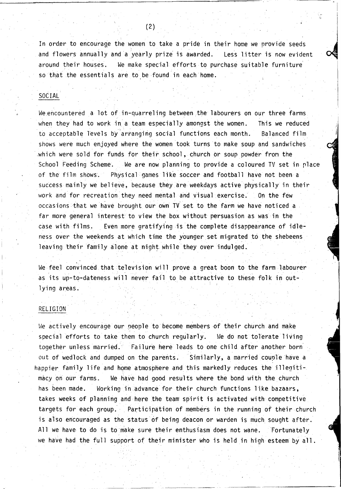In order to encourage the women to take a pride in their home we provide seeds and flowers annually and a yearly prize' is awarded. Less litter is now evident around their houses. We make special efforts to purchase suitable furniture' so that the essentials are to be found in each home.

# SOCIAL

We encountered a lot of in-quarreling between the labourers on our three farms when they had to work in a team especially amongst the women. to acceptable levels by arranging social functions each month. This we reduced Balanced film shows were much enjoyed where the women took turns to make soup and sandwiches which were sold for funds for their school, church or soup powder from the School Feeding Scheme. We are now planning to provide a coloured TV set in rlace of the film shows. Physical games like soccer and football have not been a success mainly we believe, because they are weekdays active physically in their work and for recreation they need mental and visual exercise. On the few occasions that we have brought our own TV set to the farm we have noticed a far more general interest to view the box without persuasion as was in the case with films. Even more gratifying is the complete disappearance of idleness over the weekends at which time the younger set migrated to the shebeens leaving their family alone at night while they over indulged.

 $\overline{\phantom{a}}$ We feel convinced that television will prove a great boon to the farm labourer as its up-to-dateness will never fail to be attractive to these folk in outlying areas.

### RELIGION

We actively encourage our people to become members of their church and make special efforts to take them to church regularly. We do net tolerate living together unless married. Failure here leads to one child after another born out of wedlock and dumped on the parents. Similarly, a married couple have a happier family life and home atmosphere and this markedly reduces the illegitimacy on our farms. We have had good results where the bond with the church has been made. Working in advance for their church functions like bazaars, takes weeks of planning and here the team spirit is activated with competitive targets for each group. Participation of members in the running of their church is also encouraged as the status of being deacon or warden is much sought after. All we have to do is to make sure their enthusiasm does not wane. Fortunately we have had the full support of their minister who is held in high esteem by all.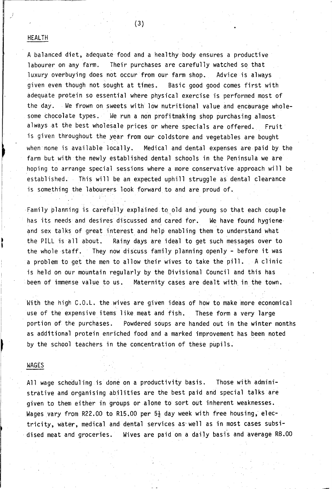# HEALTH

A balanced diet, adequate food and a healthy body ensures a productive labourer on any farm. Their purchases are carefully watched so that luxury overbuying does not occur from our farm shop. Advice is always given even though not sought at times. Basic good good comes first with adequate protein so essential where physical exercise is performed most of the day. We frown on sweets with low nutritional value and encourage wholesome chocolate types. We run a non profitmaking shop purchasing almost always at the best wholesale prices or where specials are offered. Fruit is given throughout the year from our coldstore and vegetables are bought when none is available locally. Medical and dental expenses are paid by the farm but with the newly established dental schools in the Peninsula we are hoping to arrange special sessions where a more conservative approach will be established. This will be an expected uphill struggle as dental clearance is something the labourers look forward to and are proud of.

Family planning is carefully explained to old and young so that each couple has its needs and desires discussed and cared for. We have found hygiene and sex talks of great interest and help enabling them to understand what the PILL is all about. Rainy days are ideal to get such messages over to the whole staff. They now discuss family planning openly - before it was a problem to get the men to allow their wives to take the pill. A clinic is held on our mountain regularly by the Divisional Council and this has . been of immense value to us. Maternity cases are dealt with in the town.

With the high C.O.L. the wives are given ideas of how to make more economical use of the expensive items like meat and fish. These form a very large portion of the purchases. Powdered soups are handed out in the winter months as additional protein enriched food and a marked improvement has been noted by the school teachers in the concentration of these pupils.

#### WAGES

All wage scheduling is done on a productivity basis. Those with administrative and organising abilities are the best paid and special talks are given to them either in groups or alone to sort out inherent weaknesses. Wages vary from R22.00 to R15.00 per  $5\frac{1}{2}$  day week with free housing, electricity, water, medical and dental services as'well as in most cases subsi- . dised meat and groceries. Wives are paid on a daily basis and average RB.OO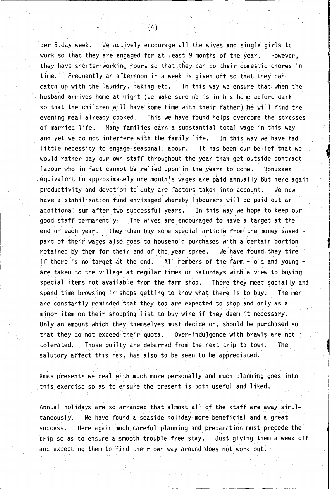per 5 day week. We actively encourage all the wives and single girls to work so that they are engaged for at least 9 months of the year. However, they have shorter working hours so that they can do their domestic chores in time. Frequently an afternoon in a week is given off so that they can catch up with the laundry, baking etc. In this way we ensure that when the husband arrives home at night (we make sure he is in his home before dark so that the children will have some time with their father) he will find the evening meal already cooked. This we have found helps overcome the stresses of married life. Many families earn a substantial total wage in this: way and yet we do not interfere with the family life. In this way we have had little necessity to engage seasonal labour. It has been our belief that we would rather pay our own staff throughout the year than get outside contract labour who in fact cannot be relied upon in the years to come. Bonusses equivalent to approximately one month's wages are paid annually but here again productivity and devotion to duty are factors taken into account. We now have a stabilisation fund envisaged whereby labourers will be paid out an additional sum after two successful years. In this way we hope to keep our good staff permanently. The wives are encouraged to have a target at the end of each year. They then buy some special article from the money saved part of their wages also goes to household purchases with a certain portion retained by them for their end of the year spree. We have found they tire if there is no target at the end. All members of the farm - old and young are taken to the village at regular times on Saturdays with a view to buying special items not available from the farm shop. There they meet socially and spend time browsing in shops getting to know what there is to buy. The men are constantly reminded that they too are expected to shop and only as a minor item on their shopping list to buy wine if they deem it necessary. Only an amount which they themselves must decide on, should be purchased so that they do not exceed their quota. Over-indulgence with brawls are not  $\cdot$ tolerated. Those quilty are debarred from the next trip to town. The salutory affect this has, has also to be seen to be appreciated.

Xmas presents we deal with much more personally and much planning goes into this exercise so as to ensure the present is both useful and liked. is has, has also<br>eal with much most<br>of to ensure the<br>e so arranged the

, ... . Annual holidays are so arranged that almost all of the staff are away simultaneously. We have found a seaside holiday more beneficial and a great success. Here again much careful planning and preparation must precede the trip so as to ensure a smooth trouble free stay. Just giving them a week off and expecting them to 'find their own way around does not work out.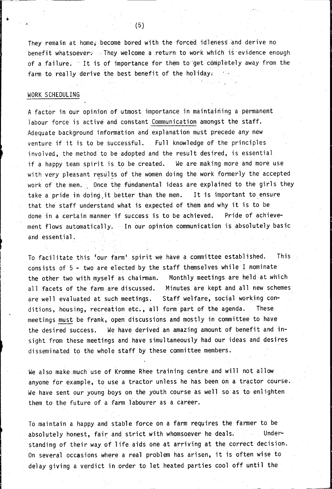They remain at home, become bored with the forced idleness and derive no benefit whatsoevery . They welcome a return to work which is evidence enough of a failure. It is of importance for them to get completely away from the farm to really derive the best benefit of the holiday.

#### WORK SCHEDULING

-'

 $\mathbb{I}$ 

 $\mathbb{I}$ 

A factor in our opinion of utmost importance in maintaining a permanent labour force is active and constant Communication amongst the staff. Adequate background information and explanation must precede any new venture if it is to be successful. Full knowledge of the principles involved, the method to be adopted and the result desired, is essential if a happy team spirit is to be created. We are making more and more use with very pleasant results of the women doing the work formerly the accepted work of the men. Once the fundamental ideas are explained to the girls they take a pride in doing it better than the men. It is important to ensure that the staff understand what is expected of them and why it is to be done in a certain manner if success is to be achieved. Pride of achievement flows automatically. In our opinion communication is absolutely basic and essential.

To facil itate this 'our farm' spirit we have a committee establ ished. This consists of 5 - two are elected by the staff themselves while I nominate the other two with myself as chairman. Monthly meetings are held at which all facets of the farm are discussed. Minutes are kept and all new schemes are well evaluated at such meetings. Staff welfare, social working conditions, housing, recreation etc., all form part of the agenda. These meetings must be frank, open discussions and mostly in committee to have the desired success. We have derived an amazing amount of benefit and insight from these meetings and have simultaneously had our ideas and desires disseminated to the whole staff by these committee members.

We also make much use of Kromme Rhee training centre and will not allow anyone for example, to use a tractor unless he has been on a tractor course. We have sent our young boys on the youth course as well so as to enlighten them to the future of a farm labourer as a career.

To maintain a happy and stable force on a farm requires the farmer to be absolutely honest, fair and strict with whomsoever he deals. Understanding of their way of life aids one at arriving at the correct decision. On several occasions where a real problem has arisen, it is often wise to delay giving a verdict in order to let heated parties cool off until the